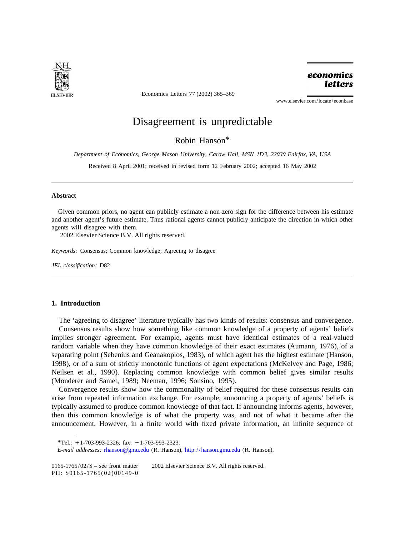

Economics Letters 77 (2002) 365–369

economics **letters** 

www.elsevier.com/locate/econbase

# Disagreement is unpredictable.

Robin Hanson\*

*Department of Economics*, *George Mason University*, *Carow Hall*, *MSN* <sup>1</sup>*D*3, <sup>22030</sup> *Fairfax*, *VA*, *USA*

Received 8 April 2001; received in revised form 12 February 2002; accepted 16 May 2002

## **Abstract**

Given common priors, no agent can publicly estimate a non-zero sign for the difference between his estimate and another agent's future estimate. Thus rational agents cannot publicly anticipate the direction in which other agents will disagree with them.

2002 Elsevier Science B.V. All rights reserved.

*Keywords*: Consensus; Common knowledge; Agreeing to disagree

*JEL classification*: D82

## **1. Introduction**

The 'agreeing to disagree' literature typically has two kinds of results: consensus and convergence. Consensus results show how something like common knowledge of a property of agents' beliefs implies stronger agreement. For example, agents must have identical estimates of a real-valued random variable when they have common knowledge of their exact estimates (Aumann, 1976), of a separating point (Sebenius and Geanakoplos, 1983), of which agent has the highest estimate (Hanson, 1998), or of a sum of strictly monotonic functions of agent expectations (McKelvey and Page, 1986; Neilsen et al., 1990). Replacing common knowledge with common belief gives similar results (Monderer and Samet, 1989; Neeman, 1996; Sonsino, 1995).

Convergence results show how the commonality of belief required for these consensus results can arise from repeated information exchange. For example, announcing a property of agents' beliefs is typically assumed to produce common knowledge of that fact. If announcing informs agents, however, then this common knowledge is of what the property was, and not of what it became after the announcement. However, in a finite world with fixed private information, an infinite sequence of

0165-1765/02/ $\frac{1}{6}$  – see front matter  $\circ$  2002 Elsevier Science B.V. All rights reserved.

PII: S0165-1765(02)00149-0

*<sup>\*</sup>*Tel.: 11-703-993-2326; fax: 11-703-993-2323.

*E*-*mail addresses*: [rhanson@gmu.edu](mailto:rhanson@gmu.edu) (R. Hanson), <http://hanson.gmu.edu> (R. Hanson).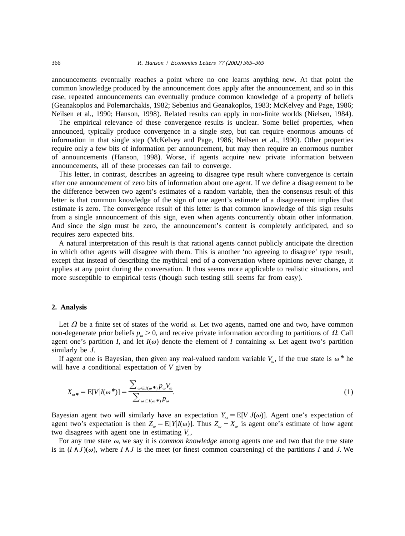announcements eventually reaches a point where no one learns anything new. At that point the common knowledge produced by the announcement does apply after the announcement, and so in this case, repeated announcements can eventually produce common knowledge of a property of beliefs (Geanakoplos and Polemarchakis, 1982; Sebenius and Geanakoplos, 1983; McKelvey and Page, 1986; Neilsen et al., 1990; Hanson, 1998). Related results can apply in non-finite worlds (Nielsen, 1984).

The empirical relevance of these convergence results is unclear. Some belief properties, when announced, typically produce convergence in a single step, but can require enormous amounts of information in that single step (McKelvey and Page, 1986; Neilsen et al., 1990). Other properties require only a few bits of information per announcement, but may then require an enormous number of announcements (Hanson, 1998). Worse, if agents acquire new private information between announcements, all of these processes can fail to converge.

This letter, in contrast, describes an agreeing to disagree type result where convergence is certain after one announcement of zero bits of information about one agent. If we define a disagreement to be the difference between two agent's estimates of a random variable, then the consensus result of this letter is that common knowledge of the sign of one agent's estimate of a disagreement implies that estimate is zero. The convergence result of this letter is that common knowledge of this sign results from a single announcement of this sign, even when agents concurrently obtain other information. And since the sign must be zero, the announcement's content is completely anticipated, and so requires zero expected bits.

A natural interpretation of this result is that rational agents cannot publicly anticipate the direction in which other agents will disagree with them. This is another 'no agreeing to disagree' type result, except that instead of describing the mythical end of a conversation where opinions never change, it applies at any point during the conversation. It thus seems more applicable to realistic situations, and more susceptible to empirical tests (though such testing still seems far from easy).

#### **2. Analysis**

Let  $\Omega$  be a finite set of states of the world  $\omega$ . Let two agents, named one and two, have common non-degenerate prior beliefs  $p_{\alpha} > 0$ , and receive private information according to partitions of  $\Omega$ . Call agent one's partition *I*, and let  $I(\omega)$  denote the element of *I* containing  $\omega$ . Let agent two's partition similarly be *J*.

If agent one is Bayesian, then given any real-valued random variable  $V_{\omega}$ , if the true state is  $\omega^*$  he will have a conditional expectation of *V* given by

$$
X_{\omega} * = \mathbb{E}[V|I(\omega^*)] = \frac{\sum_{\omega \in I(\omega^*)} p_{\omega} V_{\omega}}{\sum_{\omega \in I(\omega^*)} p_{\omega}}.
$$
\n(1)

Bayesian agent two will similarly have an expectation  $Y_{\omega} = E[V|J(\omega)]$ . Agent one's expectation of agent two's expectation is then  $Z_{\omega} = E[Y|I(\omega)]$ . Thus  $Z_{\omega} - X_{\omega}$  is agent one's estimate of how agent two disagrees with agent one in estimating  $V_{\alpha}$ .

For any true state  $\omega$ , we say it is *common knowledge* among agents one and two that the true state is in  $(I \wedge J)(\omega)$ , where  $I \wedge J$  is the meet (or finest common coarsening) of the partitions *I* and *J*. We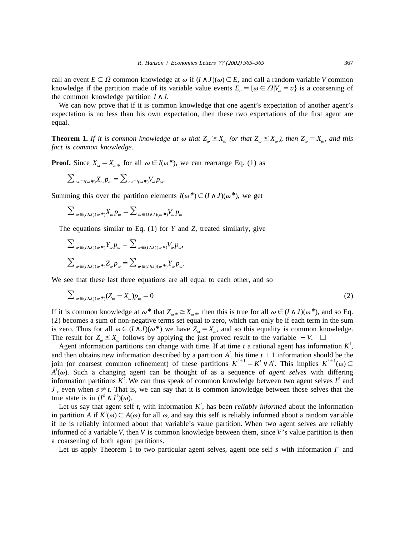call an event  $E \subset \Omega$  common knowledge at  $\omega$  if  $(I \wedge J)(\omega) \subset E$ , and call a random variable *V* common knowledge if the partition made of its variable value events  $E_v = {\omega \in \Omega}$   $|V_{\omega} = v}$  is a coarsening of the common knowledge partition  $I \wedge J$ .

We can now prove that if it is common knowledge that one agent's expectation of another agent's expectation is no less than his own expectation, then these two expectations of the first agent are equal.

**Theorem 1.** *If it is common knowledge at*  $\omega$  *that*  $Z_{\omega} \ge X_{\omega}$  (*or that*  $Z_{\omega} \le X_{\omega}$ *), then*  $Z_{\omega} = X_{\omega}$ *, and this fact is common knowledge*.

**Proof.** Since  $X_{\omega} = X_{\omega^*}$  for all  $\omega \in I(\omega^*)$ , we can rearrange Eq. (1) as

$$
\sum_{\omega \in I(\omega^*)} X_{\omega} p_{\omega} = \sum_{\omega \in I(\omega^*)} V_{\omega} p_{\omega}.
$$

Summing this over the partition elements  $I(\omega^*) \subset (I \wedge J)(\omega^*)$ , we get

$$
\sum_{\omega \in (I \wedge J)(\omega \ast)} X_{\omega} p_{\omega} = \sum_{\omega \in (I \wedge J)(\omega \ast)} V_{\omega} p_{\omega}
$$

The equations similar to Eq. (1) for *Y* and *Z*, treated similarly, give

$$
\sum_{\omega \in (I \wedge J)(\omega *)} Y_{\omega} p_{\omega} = \sum_{\omega \in (I \wedge J)(\omega *)} V_{\omega} p_{\omega},
$$
  

$$
\sum_{\omega \in (I \wedge J)(\omega *)} Z_{\omega} p_{\omega} = \sum_{\omega \in (I \wedge J)(\omega *)} Y_{\omega} p_{\omega}.
$$

We see that these last three equations are all equal to each other, and so

$$
\sum_{\omega \in (I \wedge J)(\omega^*)} (Z_{\omega} - X_{\omega}) p_{\omega} = 0 \tag{2}
$$

If it is common knowledge at  $\omega^*$  that  $Z_{\omega^*} \ge X_{\omega^*}$ , then this is true for all  $\omega \in (I \wedge J)(\omega^*)$ , and so Eq. (2) becomes a sum of non-negative terms set equal to zero, which can only be if each term in the sum is zero. Thus for all  $\omega \in (I \wedge J)(\omega^*)$  we have  $Z_{\omega} = X_{\omega}$ , and so this equality is common knowledge.<br>The result for  $Z_{\omega} \le X_{\omega}$  follows by applying the just proved result to the variable  $-V$ .  $\square$ 

Agent information partitions can change with time. If at time t a rational agent has information  $K'$ , and then obtains new information described by a partition  $A'$ , his time  $t + 1$  information should be the join (or coa

true state is in  $(I^s \wedge J^t)(\omega)$ .<br>Let us say that agent self t, with information K<sup>t</sup>, has been *reliably informed* about the information<br>in partition A if  $K^t(\omega) \subset A(\omega)$  for all  $\omega$ , and say this self is reliably inform if he is reliably informed about that variable's value partition. When two agent selves are reliably informed of a variable *V*, then *V* is common knowledge between them, since *V*'s value partition is then a coarsening of both agent partitions.<br>Let us apply Theorem 1 to two particular agent selves, agent one self *s* with information *I*<sup>*s*</sup> and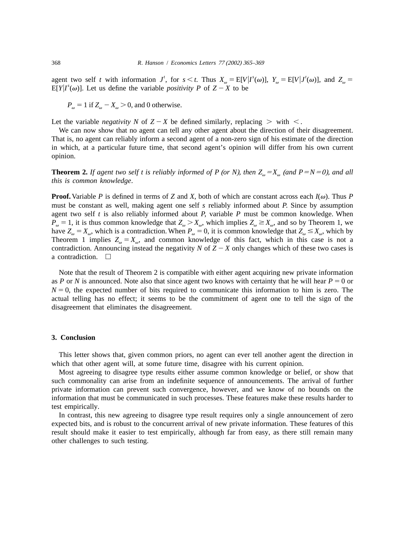agent two self t with information  $J'$ , for  $s < t$ . Thus  $X_{\omega} = E[V|I^s(\omega)]$ ,  $Y_{\omega} = E[V|J^t(\omega)]$ , and  $Z_{\omega} = E[Y|I^s(\omega)]$ . Let us define the variable *positivity* P of  $Z - X$  to be

 $P_{\omega} = 1$  if  $Z_{\omega} - X_{\omega} > 0$ , and 0 otherwise.

Let the variable *negativity* N of  $Z - X$  be defined similarly, replacing  $\geq$  with  $\lt$ .

We can now show that no agent can tell any other agent about the direction of their disagreement. That is, no agent can reliably inform a second agent of a non-zero sign of his estimate of the direction in which, at a particular future time, that second agent's opinion will differ from his own current opinion.

**Theorem 2.** If agent two self t is reliably informed of P (or N), then  $Z_{\alpha} = X_{\alpha}$  (and  $P = N = 0$ ), and all *this is common knowledge*.

**Proof.** Variable *P* is defined in terms of *Z* and *X*, both of which are constant across each  $I(\omega)$ . Thus *P* must be constant as well, making agent one self *s* reliably informed about *P*. Since by assumption agent two self *t* is also reliably informed about *P*, variable *P* must be common knowledge. When  $P_{\omega} = 1$ , it is thus common knowledge that  $Z_{\omega} > X_{\omega}$ , which implies  $Z_{\omega} \ge X_{\omega}$ , and so by Theorem 1, we have  $Z_{\omega} = X_{\omega}$ , which is a contradiction. When  $P_{\omega} = 0$ , it is common knowledge that  $Z_{\omega} \le X_{\omega}$ , which by Theorem 1 implies  $Z_{\omega} = X_{\omega}$ , and common knowledge of this fact, which in this case is not a contradiction. Announcing instead the negativity *N* of  $Z - X$  only changes which of these two cases is a contradiction.  $\Box$ 

Note that the result of Theorem 2 is compatible with either agent acquiring new private information as *P* or *N* is announced. Note also that since agent two knows with certainty that he will hear  $P = 0$  or  $N = 0$ , the expected number of bits required to communicate this information to him is zero. The actual telling has no effect; it seems to be the commitment of agent one to tell the sign of the disagreement that eliminates the disagreement.

## **3. Conclusion**

This letter shows that, given common priors, no agent can ever tell another agent the direction in which that other agent will, at some future time, disagree with his current opinion.

Most agreeing to disagree type results either assume common knowledge or belief, or show that such commonality can arise from an indefinite sequence of announcements. The arrival of further private information can prevent such convergence, however, and we know of no bounds on the information that must be communicated in such processes. These features make these results harder to test empirically.

In contrast, this new agreeing to disagree type result requires only a single announcement of zero expected bits, and is robust to the concurrent arrival of new private information. These features of this result should make it easier to test empirically, although far from easy, as there still remain many other challenges to such testing.